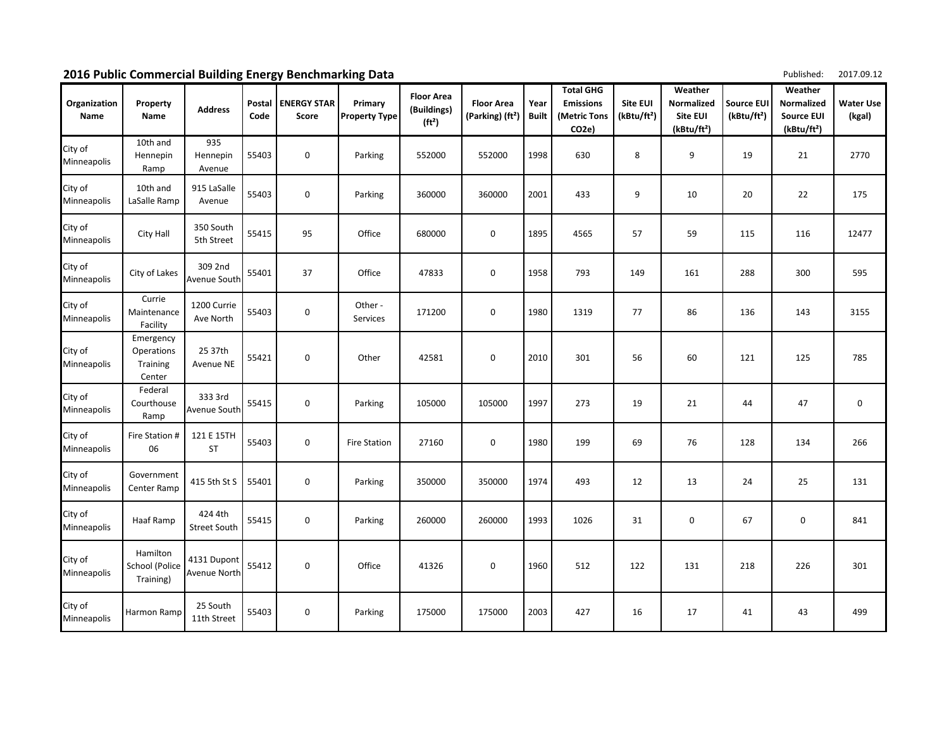| 2016 Public Commercial Building Energy Benchmarking Data |  | Published: 2017.09.12 |
|----------------------------------------------------------|--|-----------------------|
|----------------------------------------------------------|--|-----------------------|

| Organization<br>Name   | Property<br>Name                                     | <b>Address</b>                 | Postal<br>Code | <b>ENERGY STAR</b><br>Score | Primary<br><b>Property Type</b> | <b>Floor Area</b><br>(Buildings)<br>(ft <sup>2</sup> ) | <b>Floor Area</b><br>(Parking) (ft <sup>2</sup> ) | Year<br><b>Built</b> | <b>Total GHG</b><br><b>Emissions</b><br>(Metric Tons<br>CO <sub>2e</sub> ) | <b>Site EUI</b><br>(kBtu/ft <sup>2</sup> ) | Weather<br>Normalized<br><b>Site EUI</b><br>(kBtu/ft <sup>2</sup> ) | <b>Source EUI</b><br>(kBtu/ft <sup>2</sup> ) | Weather<br>Normalized<br><b>Source EUI</b><br>(kBtu/ft <sup>2</sup> ) | <b>Water Use</b><br>(kgal) |
|------------------------|------------------------------------------------------|--------------------------------|----------------|-----------------------------|---------------------------------|--------------------------------------------------------|---------------------------------------------------|----------------------|----------------------------------------------------------------------------|--------------------------------------------|---------------------------------------------------------------------|----------------------------------------------|-----------------------------------------------------------------------|----------------------------|
| City of<br>Minneapolis | 10th and<br>Hennepin<br>Ramp                         | 935<br>Hennepin<br>Avenue      | 55403          | 0                           | Parking                         | 552000                                                 | 552000                                            | 1998                 | 630                                                                        | 8                                          | 9                                                                   | 19                                           | 21                                                                    | 2770                       |
| City of<br>Minneapolis | 10th and<br>LaSalle Ramp                             | 915 LaSalle<br>Avenue          | 55403          | 0                           | Parking                         | 360000                                                 | 360000                                            | 2001                 | 433                                                                        | 9                                          | 10                                                                  | 20                                           | 22                                                                    | 175                        |
| City of<br>Minneapolis | City Hall                                            | 350 South<br>5th Street        | 55415          | 95                          | Office                          | 680000                                                 | $\mathbf 0$                                       | 1895                 | 4565                                                                       | 57                                         | 59                                                                  | 115                                          | 116                                                                   | 12477                      |
| City of<br>Minneapolis | City of Lakes                                        | 309 2nd<br>Avenue South        | 55401          | 37                          | Office                          | 47833                                                  | $\pmb{0}$                                         | 1958                 | 793                                                                        | 149                                        | 161                                                                 | 288                                          | 300                                                                   | 595                        |
| City of<br>Minneapolis | Currie<br>Maintenance<br>Facility                    | 1200 Currie<br>Ave North       | 55403          | 0                           | Other -<br>Services             | 171200                                                 | $\mathbf 0$                                       | 1980                 | 1319                                                                       | 77                                         | 86                                                                  | 136                                          | 143                                                                   | 3155                       |
| City of<br>Minneapolis | Emergency<br><b>Operations</b><br>Training<br>Center | 25 37th<br>Avenue NE           | 55421          | 0                           | Other                           | 42581                                                  | $\mathbf 0$                                       | 2010                 | 301                                                                        | 56                                         | 60                                                                  | 121                                          | 125                                                                   | 785                        |
| City of<br>Minneapolis | Federal<br>Courthouse<br>Ramp                        | 333 3rd<br>Avenue South        | 55415          | 0                           | Parking                         | 105000                                                 | 105000                                            | 1997                 | 273                                                                        | 19                                         | 21                                                                  | 44                                           | 47                                                                    | $\mathbf 0$                |
| City of<br>Minneapolis | Fire Station #<br>06                                 | 121 E 15TH<br>ST               | 55403          | 0                           | <b>Fire Station</b>             | 27160                                                  | $\mathbf 0$                                       | 1980                 | 199                                                                        | 69                                         | 76                                                                  | 128                                          | 134                                                                   | 266                        |
| City of<br>Minneapolis | Government<br>Center Ramp                            | 415 5th St S                   | 55401          | 0                           | Parking                         | 350000                                                 | 350000                                            | 1974                 | 493                                                                        | 12                                         | 13                                                                  | 24                                           | 25                                                                    | 131                        |
| City of<br>Minneapolis | Haaf Ramp                                            | 424 4th<br><b>Street South</b> | 55415          | 0                           | Parking                         | 260000                                                 | 260000                                            | 1993                 | 1026                                                                       | 31                                         | $\pmb{0}$                                                           | 67                                           | 0                                                                     | 841                        |
| City of<br>Minneapolis | Hamilton<br>School (Police<br>Training)              | 4131 Dupont<br>Avenue North    | 55412          | 0                           | Office                          | 41326                                                  | 0                                                 | 1960                 | 512                                                                        | 122                                        | 131                                                                 | 218                                          | 226                                                                   | 301                        |
| City of<br>Minneapolis | Harmon Ramp                                          | 25 South<br>11th Street        | 55403          | 0                           | Parking                         | 175000                                                 | 175000                                            | 2003                 | 427                                                                        | 16                                         | 17                                                                  | 41                                           | 43                                                                    | 499                        |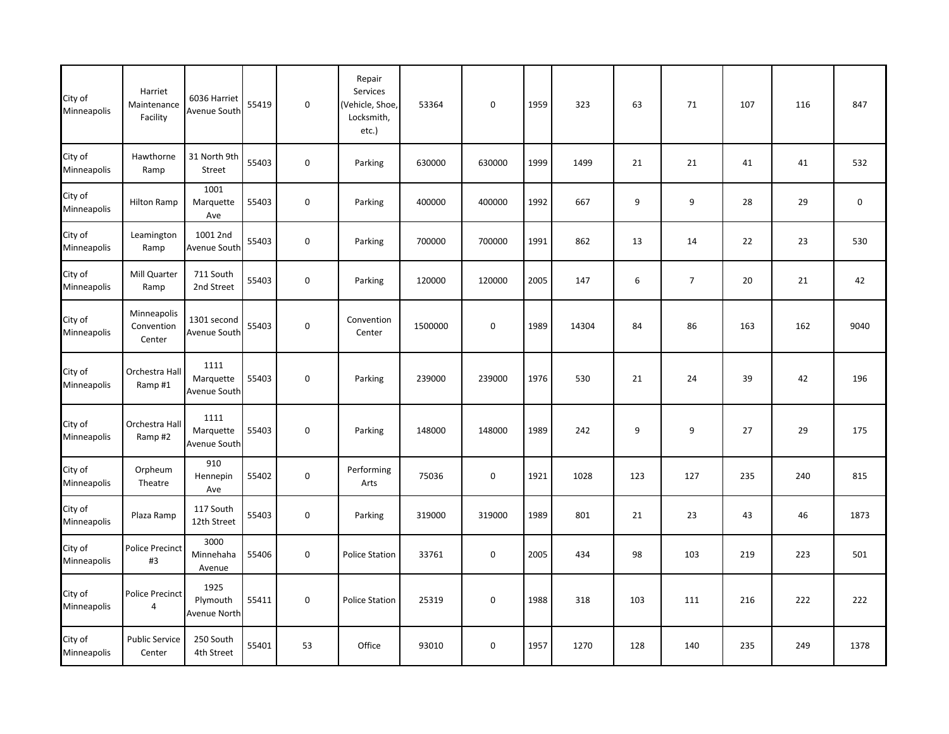| City of<br>Minneapolis | Harriet<br>Maintenance<br>Facility  | 6036 Harriet<br>Avenue South      | 55419 | $\mathbf 0$         | Repair<br>Services<br>(Vehicle, Shoe,<br>Locksmith,<br>etc.) | 53364   | $\mathbf 0$      | 1959 | 323   | 63               | 71             | 107 | 116 | 847         |
|------------------------|-------------------------------------|-----------------------------------|-------|---------------------|--------------------------------------------------------------|---------|------------------|------|-------|------------------|----------------|-----|-----|-------------|
| City of<br>Minneapolis | Hawthorne<br>Ramp                   | 31 North 9th<br>Street            | 55403 | $\mathsf{O}\xspace$ | Parking                                                      | 630000  | 630000           | 1999 | 1499  | 21               | 21             | 41  | 41  | 532         |
| City of<br>Minneapolis | Hilton Ramp                         | 1001<br>Marquette<br>Ave          | 55403 | $\mathsf{O}\xspace$ | Parking                                                      | 400000  | 400000           | 1992 | 667   | $\boldsymbol{9}$ | 9              | 28  | 29  | $\mathbf 0$ |
| City of<br>Minneapolis | Leamington<br>Ramp                  | 1001 2nd<br>Avenue South          | 55403 | 0                   | Parking                                                      | 700000  | 700000           | 1991 | 862   | 13               | 14             | 22  | 23  | 530         |
| City of<br>Minneapolis | Mill Quarter<br>Ramp                | 711 South<br>2nd Street           | 55403 | $\mathsf{O}\xspace$ | Parking                                                      | 120000  | 120000           | 2005 | 147   | 6                | $\overline{7}$ | 20  | 21  | 42          |
| City of<br>Minneapolis | Minneapolis<br>Convention<br>Center | 1301 second<br>Avenue South       | 55403 | $\mathsf{O}\xspace$ | Convention<br>Center                                         | 1500000 | $\pmb{0}$        | 1989 | 14304 | 84               | 86             | 163 | 162 | 9040        |
| City of<br>Minneapolis | Orchestra Hall<br>Ramp#1            | 1111<br>Marquette<br>Avenue South | 55403 | $\mathsf{O}\xspace$ | Parking                                                      | 239000  | 239000           | 1976 | 530   | 21               | 24             | 39  | 42  | 196         |
| City of<br>Minneapolis | Orchestra Hall<br>Ramp#2            | 1111<br>Marquette<br>Avenue South | 55403 | $\mathbf 0$         | Parking                                                      | 148000  | 148000           | 1989 | 242   | 9                | 9              | 27  | 29  | 175         |
| City of<br>Minneapolis | Orpheum<br>Theatre                  | 910<br>Hennepin<br>Ave            | 55402 | $\mathsf{O}\xspace$ | Performing<br>Arts                                           | 75036   | 0                | 1921 | 1028  | 123              | 127            | 235 | 240 | 815         |
| City of<br>Minneapolis | Plaza Ramp                          | 117 South<br>12th Street          | 55403 | $\mathsf{O}\xspace$ | Parking                                                      | 319000  | 319000           | 1989 | 801   | 21               | 23             | 43  | 46  | 1873        |
| City of<br>Minneapolis | <b>Police Precinct</b><br>#3        | 3000<br>Minnehaha<br>Avenue       | 55406 | $\mathsf{O}\xspace$ | <b>Police Station</b>                                        | 33761   | $\boldsymbol{0}$ | 2005 | 434   | 98               | 103            | 219 | 223 | 501         |
| City of<br>Minneapolis | Police Precinct<br>4                | 1925<br>Plymouth<br>Avenue North  | 55411 | $\pmb{0}$           | <b>Police Station</b>                                        | 25319   | $\pmb{0}$        | 1988 | 318   | 103              | 111            | 216 | 222 | 222         |
| City of<br>Minneapolis | <b>Public Service</b><br>Center     | 250 South<br>4th Street           | 55401 | 53                  | Office                                                       | 93010   | $\mathbf 0$      | 1957 | 1270  | 128              | 140            | 235 | 249 | 1378        |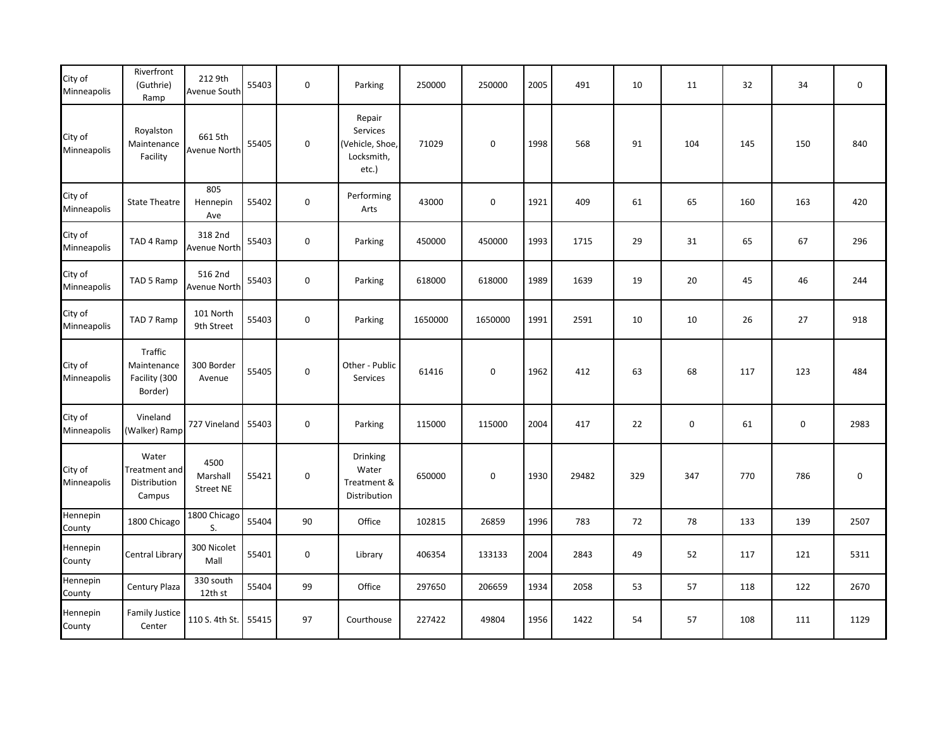| City of<br>Minneapolis | Riverfront<br>(Guthrie)<br>Ramp                    | 212 9th<br>Avenue South              | 55403 | $\mathbf 0$      | Parking                                                      | 250000  | 250000      | 2005 | 491   | 10  | 11        | 32  | 34                  | 0         |
|------------------------|----------------------------------------------------|--------------------------------------|-------|------------------|--------------------------------------------------------------|---------|-------------|------|-------|-----|-----------|-----|---------------------|-----------|
| City of<br>Minneapolis | Royalston<br>Maintenance<br>Facility               | 661 5th<br>Avenue North              | 55405 | $\pmb{0}$        | Repair<br>Services<br>(Vehicle, Shoe,<br>Locksmith,<br>etc.) | 71029   | $\pmb{0}$   | 1998 | 568   | 91  | 104       | 145 | 150                 | 840       |
| City of<br>Minneapolis | <b>State Theatre</b>                               | 805<br>Hennepin<br>Ave               | 55402 | $\pmb{0}$        | Performing<br>Arts                                           | 43000   | $\mathbf 0$ | 1921 | 409   | 61  | 65        | 160 | 163                 | 420       |
| City of<br>Minneapolis | TAD 4 Ramp                                         | 318 2nd<br>Avenue North              | 55403 | $\boldsymbol{0}$ | Parking                                                      | 450000  | 450000      | 1993 | 1715  | 29  | 31        | 65  | 67                  | 296       |
| City of<br>Minneapolis | TAD 5 Ramp                                         | 516 2nd<br>Avenue North              | 55403 | $\pmb{0}$        | Parking                                                      | 618000  | 618000      | 1989 | 1639  | 19  | 20        | 45  | 46                  | 244       |
| City of<br>Minneapolis | TAD 7 Ramp                                         | 101 North<br>9th Street              | 55403 | $\boldsymbol{0}$ | Parking                                                      | 1650000 | 1650000     | 1991 | 2591  | 10  | 10        | 26  | 27                  | 918       |
| City of<br>Minneapolis | Traffic<br>Maintenance<br>Facility (300<br>Border) | 300 Border<br>Avenue                 | 55405 | $\boldsymbol{0}$ | Other - Public<br>Services                                   | 61416   | $\mathbf 0$ | 1962 | 412   | 63  | 68        | 117 | 123                 | 484       |
| City of<br>Minneapolis | Vineland<br>(Walker) Ramp                          | 727 Vineland                         | 55403 | $\mathbf 0$      | Parking                                                      | 115000  | 115000      | 2004 | 417   | 22  | $\pmb{0}$ | 61  | $\mathsf{O}\xspace$ | 2983      |
| City of<br>Minneapolis | Water<br>Treatment and<br>Distribution<br>Campus   | 4500<br>Marshall<br><b>Street NE</b> | 55421 | $\pmb{0}$        | Drinking<br>Water<br>Treatment &<br>Distribution             | 650000  | $\mathbf 0$ | 1930 | 29482 | 329 | 347       | 770 | 786                 | $\pmb{0}$ |
| Hennepin<br>County     | 1800 Chicago                                       | 1800 Chicago<br>S.                   | 55404 | 90               | Office                                                       | 102815  | 26859       | 1996 | 783   | 72  | 78        | 133 | 139                 | 2507      |
| Hennepin<br>County     | Central Library                                    | 300 Nicolet<br>Mall                  | 55401 | $\mathbf 0$      | Library                                                      | 406354  | 133133      | 2004 | 2843  | 49  | 52        | 117 | 121                 | 5311      |
| Hennepin<br>County     | Century Plaza                                      | 330 south<br>12th st                 | 55404 | 99               | Office                                                       | 297650  | 206659      | 1934 | 2058  | 53  | 57        | 118 | 122                 | 2670      |
| Hennepin<br>County     | <b>Family Justice</b><br>Center                    | 110 S. 4th St.                       | 55415 | 97               | Courthouse                                                   | 227422  | 49804       | 1956 | 1422  | 54  | 57        | 108 | 111                 | 1129      |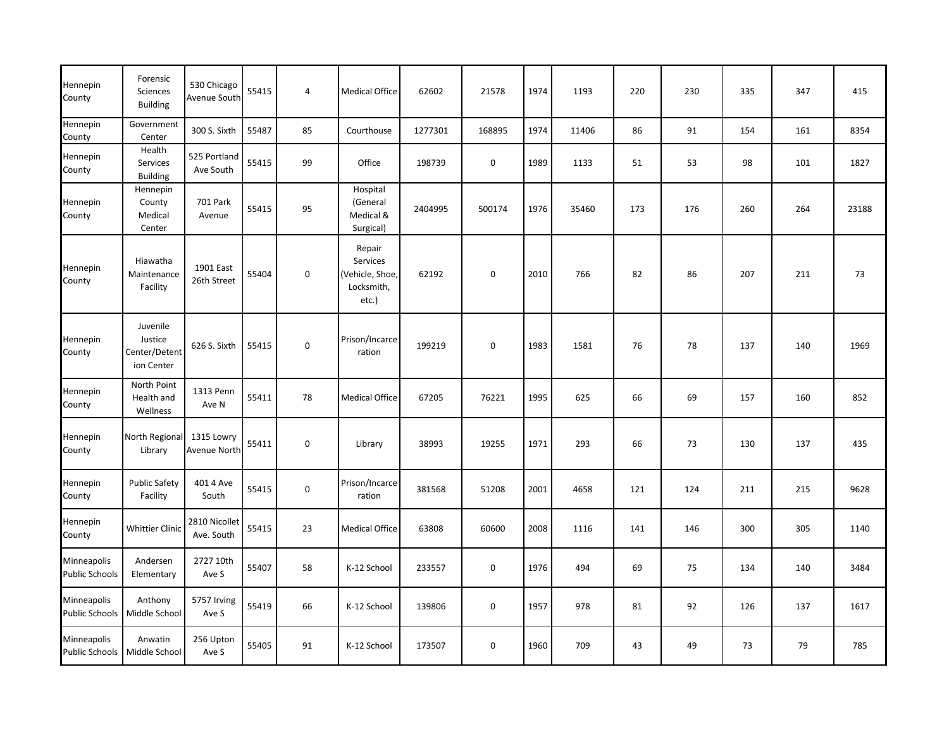| Hennepin<br>County                   | Forensic<br><b>Sciences</b><br><b>Building</b>     | 530 Chicago<br>Avenue South | 55415 | 4           | <b>Medical Office</b>                                        | 62602   | 21578            | 1974 | 1193  | 220 | 230 | 335 | 347 | 415   |
|--------------------------------------|----------------------------------------------------|-----------------------------|-------|-------------|--------------------------------------------------------------|---------|------------------|------|-------|-----|-----|-----|-----|-------|
| Hennepin<br>County                   | Government<br>Center                               | 300 S. Sixth                | 55487 | 85          | Courthouse                                                   | 1277301 | 168895           | 1974 | 11406 | 86  | 91  | 154 | 161 | 8354  |
| Hennepin<br>County                   | Health<br>Services<br><b>Building</b>              | 525 Portland<br>Ave South   | 55415 | 99          | Office                                                       | 198739  | $\boldsymbol{0}$ | 1989 | 1133  | 51  | 53  | 98  | 101 | 1827  |
| Hennepin<br>County                   | Hennepin<br>County<br>Medical<br>Center            | <b>701 Park</b><br>Avenue   | 55415 | 95          | Hospital<br>(General<br>Medical &<br>Surgical)               | 2404995 | 500174           | 1976 | 35460 | 173 | 176 | 260 | 264 | 23188 |
| Hennepin<br>County                   | Hiawatha<br>Maintenance<br>Facility                | 1901 East<br>26th Street    | 55404 | $\mathbf 0$ | Repair<br>Services<br>(Vehicle, Shoe,<br>Locksmith,<br>etc.) | 62192   | $\pmb{0}$        | 2010 | 766   | 82  | 86  | 207 | 211 | 73    |
| Hennepin<br>County                   | Juvenile<br>Justice<br>Center/Detent<br>ion Center | 626 S. Sixth                | 55415 | $\mathbf 0$ | Prison/Incarce<br>ration                                     | 199219  | $\mathbf 0$      | 1983 | 1581  | 76  | 78  | 137 | 140 | 1969  |
| Hennepin<br>County                   | North Point<br>Health and<br>Wellness              | 1313 Penn<br>Ave N          | 55411 | 78          | <b>Medical Office</b>                                        | 67205   | 76221            | 1995 | 625   | 66  | 69  | 157 | 160 | 852   |
| Hennepin<br>County                   | North Regiona<br>Library                           | 1315 Lowry<br>Avenue North  | 55411 | $\pmb{0}$   | Library                                                      | 38993   | 19255            | 1971 | 293   | 66  | 73  | 130 | 137 | 435   |
| Hennepin<br>County                   | <b>Public Safety</b><br>Facility                   | 401 4 Ave<br>South          | 55415 | $\mathbf 0$ | Prison/Incarce<br>ration                                     | 381568  | 51208            | 2001 | 4658  | 121 | 124 | 211 | 215 | 9628  |
| Hennepin<br>County                   | <b>Whittier Clinic</b>                             | 2810 Nicollet<br>Ave. South | 55415 | 23          | <b>Medical Office</b>                                        | 63808   | 60600            | 2008 | 1116  | 141 | 146 | 300 | 305 | 1140  |
| Minneapolis<br><b>Public Schools</b> | Andersen<br>Elementary                             | 2727 10th<br>Ave S          | 55407 | 58          | K-12 School                                                  | 233557  | $\boldsymbol{0}$ | 1976 | 494   | 69  | 75  | 134 | 140 | 3484  |
| Minneapolis<br><b>Public Schools</b> | Anthony<br>Middle School                           | 5757 Irving<br>Ave S        | 55419 | 66          | K-12 School                                                  | 139806  | $\pmb{0}$        | 1957 | 978   | 81  | 92  | 126 | 137 | 1617  |
| Minneapolis<br><b>Public Schools</b> | Anwatin<br>Middle School                           | 256 Upton<br>Ave S          | 55405 | 91          | K-12 School                                                  | 173507  | 0                | 1960 | 709   | 43  | 49  | 73  | 79  | 785   |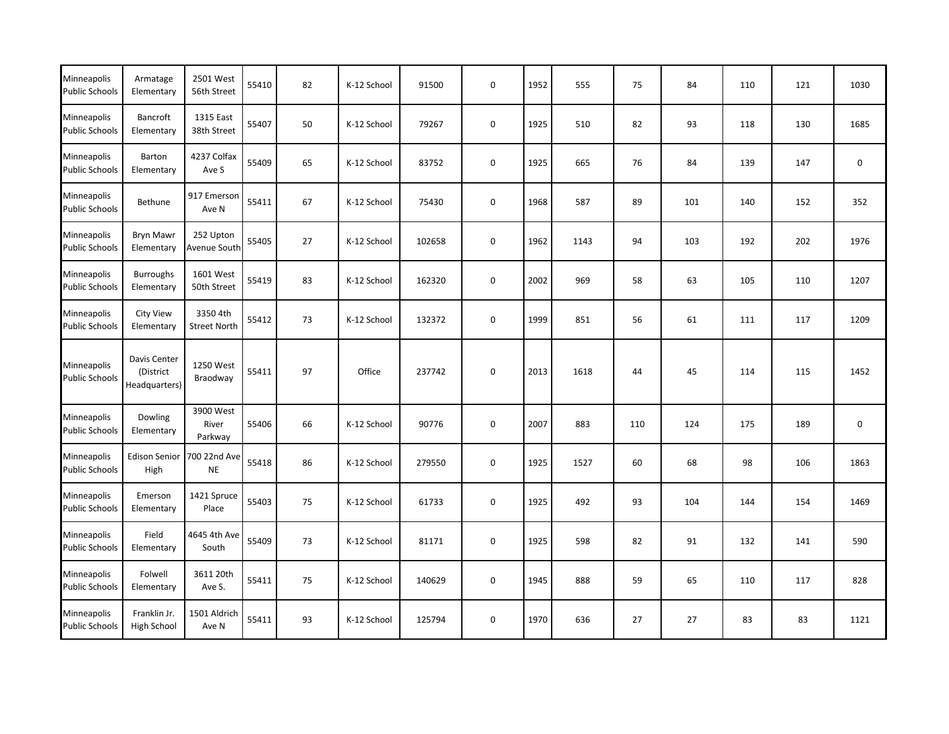| Minneapolis<br><b>Public Schools</b> | Armatage<br>Elementary                     | 2501 West<br>56th Street        | 55410 | 82 | K-12 School | 91500  | $\mathbf 0$ | 1952 | 555  | 75  | 84  | 110 | 121 | 1030        |
|--------------------------------------|--------------------------------------------|---------------------------------|-------|----|-------------|--------|-------------|------|------|-----|-----|-----|-----|-------------|
| Minneapolis<br><b>Public Schools</b> | <b>Bancroft</b><br>Elementary              | 1315 East<br>38th Street        | 55407 | 50 | K-12 School | 79267  | 0           | 1925 | 510  | 82  | 93  | 118 | 130 | 1685        |
| Minneapolis<br><b>Public Schools</b> | Barton<br>Elementary                       | 4237 Colfax<br>Ave S            | 55409 | 65 | K-12 School | 83752  | 0           | 1925 | 665  | 76  | 84  | 139 | 147 | $\mathbf 0$ |
| Minneapolis<br><b>Public Schools</b> | Bethune                                    | 917 Emerson<br>Ave N            | 55411 | 67 | K-12 School | 75430  | $\mathsf 0$ | 1968 | 587  | 89  | 101 | 140 | 152 | 352         |
| Minneapolis<br><b>Public Schools</b> | <b>Bryn Mawr</b><br>Elementary             | 252 Upton<br>Avenue South       | 55405 | 27 | K-12 School | 102658 | 0           | 1962 | 1143 | 94  | 103 | 192 | 202 | 1976        |
| Minneapolis<br><b>Public Schools</b> | <b>Burroughs</b><br>Elementary             | 1601 West<br>50th Street        | 55419 | 83 | K-12 School | 162320 | 0           | 2002 | 969  | 58  | 63  | 105 | 110 | 1207        |
| Minneapolis<br><b>Public Schools</b> | <b>City View</b><br>Elementary             | 3350 4th<br><b>Street North</b> | 55412 | 73 | K-12 School | 132372 | $\mathbf 0$ | 1999 | 851  | 56  | 61  | 111 | 117 | 1209        |
| Minneapolis<br><b>Public Schools</b> | Davis Center<br>(District<br>Headquarters) | 1250 West<br>Braodway           | 55411 | 97 | Office      | 237742 | 0           | 2013 | 1618 | 44  | 45  | 114 | 115 | 1452        |
| Minneapolis<br><b>Public Schools</b> | Dowling<br>Elementary                      | 3900 West<br>River<br>Parkway   | 55406 | 66 | K-12 School | 90776  | 0           | 2007 | 883  | 110 | 124 | 175 | 189 | $\mathbf 0$ |
| Minneapolis<br><b>Public Schools</b> | <b>Edison Senior</b><br>High               | 700 22nd Ave<br><b>NE</b>       | 55418 | 86 | K-12 School | 279550 | 0           | 1925 | 1527 | 60  | 68  | 98  | 106 | 1863        |
| Minneapolis<br><b>Public Schools</b> | Emerson<br>Elementary                      | 1421 Spruce<br>Place            | 55403 | 75 | K-12 School | 61733  | 0           | 1925 | 492  | 93  | 104 | 144 | 154 | 1469        |
| Minneapolis<br><b>Public Schools</b> | Field<br>Elementary                        | 4645 4th Ave<br>South           | 55409 | 73 | K-12 School | 81171  | 0           | 1925 | 598  | 82  | 91  | 132 | 141 | 590         |
| Minneapolis<br><b>Public Schools</b> | Folwell<br>Elementary                      | 3611 20th<br>Ave S.             | 55411 | 75 | K-12 School | 140629 | 0           | 1945 | 888  | 59  | 65  | 110 | 117 | 828         |
| Minneapolis<br><b>Public Schools</b> | Franklin Jr.<br>High School                | 1501 Aldrich<br>Ave N           | 55411 | 93 | K-12 School | 125794 | $\pmb{0}$   | 1970 | 636  | 27  | 27  | 83  | 83  | 1121        |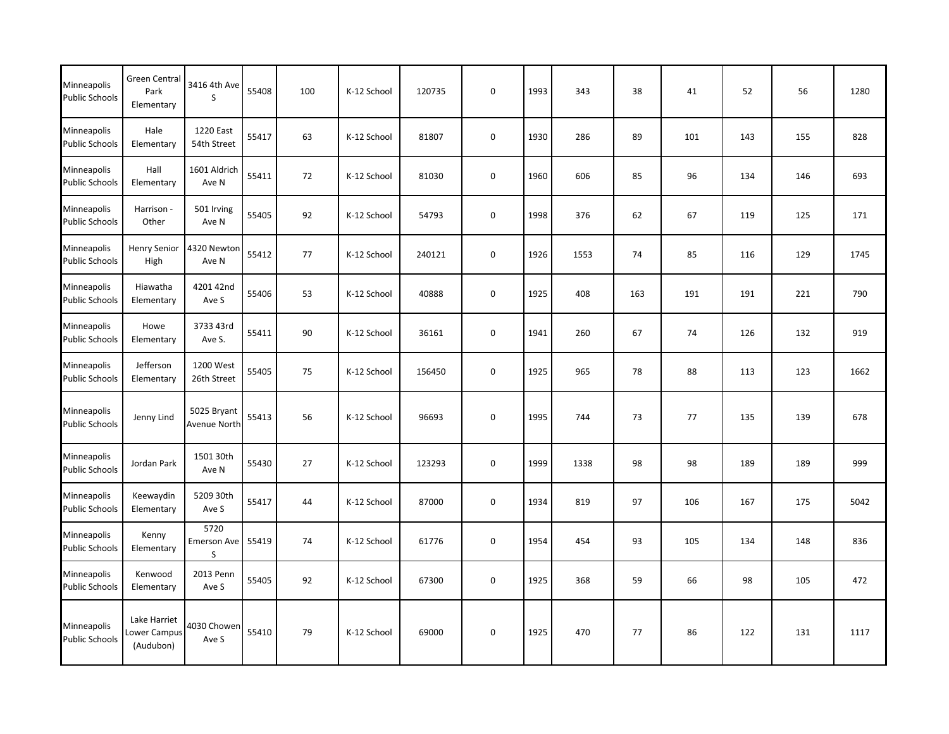| Minneapolis<br><b>Public Schools</b> | <b>Green Central</b><br>Park<br>Elementary | 3416 4th Ave<br>S           | 55408 | 100 | K-12 School | 120735 | $\boldsymbol{0}$ | 1993 | 343  | 38  | 41  | 52  | 56  | 1280 |
|--------------------------------------|--------------------------------------------|-----------------------------|-------|-----|-------------|--------|------------------|------|------|-----|-----|-----|-----|------|
| Minneapolis<br><b>Public Schools</b> | Hale<br>Elementary                         | 1220 East<br>54th Street    | 55417 | 63  | K-12 School | 81807  | $\mathbf 0$      | 1930 | 286  | 89  | 101 | 143 | 155 | 828  |
| Minneapolis<br><b>Public Schools</b> | Hall<br>Elementary                         | 1601 Aldrich<br>Ave N       | 55411 | 72  | K-12 School | 81030  | $\pmb{0}$        | 1960 | 606  | 85  | 96  | 134 | 146 | 693  |
| Minneapolis<br><b>Public Schools</b> | Harrison -<br>Other                        | 501 Irving<br>Ave N         | 55405 | 92  | K-12 School | 54793  | $\mathbf 0$      | 1998 | 376  | 62  | 67  | 119 | 125 | 171  |
| Minneapolis<br><b>Public Schools</b> | <b>Henry Senior</b><br>High                | 4320 Newton<br>Ave N        | 55412 | 77  | K-12 School | 240121 | $\pmb{0}$        | 1926 | 1553 | 74  | 85  | 116 | 129 | 1745 |
| Minneapolis<br><b>Public Schools</b> | Hiawatha<br>Elementary                     | 4201 42nd<br>Ave S          | 55406 | 53  | K-12 School | 40888  | $\pmb{0}$        | 1925 | 408  | 163 | 191 | 191 | 221 | 790  |
| Minneapolis<br><b>Public Schools</b> | Howe<br>Elementary                         | 3733 43rd<br>Ave S.         | 55411 | 90  | K-12 School | 36161  | 0                | 1941 | 260  | 67  | 74  | 126 | 132 | 919  |
| Minneapolis<br><b>Public Schools</b> | Jefferson<br>Elementary                    | 1200 West<br>26th Street    | 55405 | 75  | K-12 School | 156450 | $\pmb{0}$        | 1925 | 965  | 78  | 88  | 113 | 123 | 1662 |
| Minneapolis<br><b>Public Schools</b> | Jenny Lind                                 | 5025 Bryant<br>Avenue North | 55413 | 56  | K-12 School | 96693  | 0                | 1995 | 744  | 73  | 77  | 135 | 139 | 678  |
| Minneapolis<br>Public Schools        | Jordan Park                                | 1501 30th<br>Ave N          | 55430 | 27  | K-12 School | 123293 | $\pmb{0}$        | 1999 | 1338 | 98  | 98  | 189 | 189 | 999  |
| Minneapolis<br><b>Public Schools</b> | Keewaydin<br>Elementary                    | 5209 30th<br>Ave S          | 55417 | 44  | K-12 School | 87000  | 0                | 1934 | 819  | 97  | 106 | 167 | 175 | 5042 |
| Minneapolis<br>Public Schools        | Kenny<br>Elementary                        | 5720<br>Emerson Ave<br>S    | 55419 | 74  | K-12 School | 61776  | $\mathbf 0$      | 1954 | 454  | 93  | 105 | 134 | 148 | 836  |
| Minneapolis<br><b>Public Schools</b> | Kenwood<br>Elementary                      | 2013 Penn<br>Ave S          | 55405 | 92  | K-12 School | 67300  | $\pmb{0}$        | 1925 | 368  | 59  | 66  | 98  | 105 | 472  |
| Minneapolis<br><b>Public Schools</b> | Lake Harriet<br>Lower Campus<br>(Audubon)  | 4030 Chowen<br>Ave S        | 55410 | 79  | K-12 School | 69000  | $\boldsymbol{0}$ | 1925 | 470  | 77  | 86  | 122 | 131 | 1117 |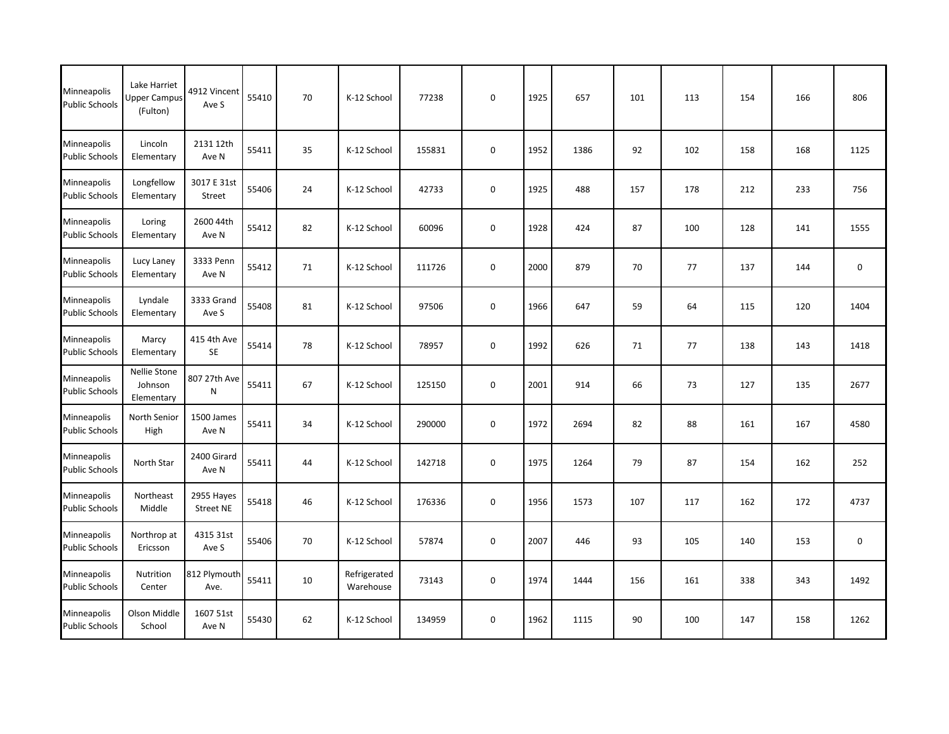| Minneapolis<br><b>Public Schools</b> | Lake Harriet<br><b>Upper Campus</b><br>(Fulton) | 4912 Vincent<br>Ave S          | 55410 | 70 | K-12 School               | 77238  | $\mathbf 0$ | 1925 | 657  | 101 | 113 | 154 | 166 | 806         |
|--------------------------------------|-------------------------------------------------|--------------------------------|-------|----|---------------------------|--------|-------------|------|------|-----|-----|-----|-----|-------------|
| Minneapolis<br><b>Public Schools</b> | Lincoln<br>Elementary                           | 2131 12th<br>Ave N             | 55411 | 35 | K-12 School               | 155831 | $\pmb{0}$   | 1952 | 1386 | 92  | 102 | 158 | 168 | 1125        |
| Minneapolis<br><b>Public Schools</b> | Longfellow<br>Elementary                        | 3017 E 31st<br>Street          | 55406 | 24 | K-12 School               | 42733  | $\mathbf 0$ | 1925 | 488  | 157 | 178 | 212 | 233 | 756         |
| Minneapolis<br><b>Public Schools</b> | Loring<br>Elementary                            | 2600 44th<br>Ave N             | 55412 | 82 | K-12 School               | 60096  | $\pmb{0}$   | 1928 | 424  | 87  | 100 | 128 | 141 | 1555        |
| Minneapolis<br><b>Public Schools</b> | Lucy Laney<br>Elementary                        | 3333 Penn<br>Ave N             | 55412 | 71 | K-12 School               | 111726 | $\pmb{0}$   | 2000 | 879  | 70  | 77  | 137 | 144 | 0           |
| Minneapolis<br><b>Public Schools</b> | Lyndale<br>Elementary                           | 3333 Grand<br>Ave S            | 55408 | 81 | K-12 School               | 97506  | 0           | 1966 | 647  | 59  | 64  | 115 | 120 | 1404        |
| Minneapolis<br><b>Public Schools</b> | Marcy<br>Elementary                             | 415 4th Ave<br>SE              | 55414 | 78 | K-12 School               | 78957  | $\mathsf 0$ | 1992 | 626  | 71  | 77  | 138 | 143 | 1418        |
| Minneapolis<br><b>Public Schools</b> | Nellie Stone<br>Johnson<br>Elementary           | 807 27th Ave<br>${\sf N}$      | 55411 | 67 | K-12 School               | 125150 | $\pmb{0}$   | 2001 | 914  | 66  | 73  | 127 | 135 | 2677        |
| Minneapolis<br><b>Public Schools</b> | North Senior<br>High                            | 1500 James<br>Ave N            | 55411 | 34 | K-12 School               | 290000 | $\pmb{0}$   | 1972 | 2694 | 82  | 88  | 161 | 167 | 4580        |
| Minneapolis<br><b>Public Schools</b> | North Star                                      | 2400 Girard<br>Ave N           | 55411 | 44 | K-12 School               | 142718 | $\pmb{0}$   | 1975 | 1264 | 79  | 87  | 154 | 162 | 252         |
| Minneapolis<br><b>Public Schools</b> | Northeast<br>Middle                             | 2955 Hayes<br><b>Street NE</b> | 55418 | 46 | K-12 School               | 176336 | $\mathsf 0$ | 1956 | 1573 | 107 | 117 | 162 | 172 | 4737        |
| Minneapolis<br><b>Public Schools</b> | Northrop at<br>Ericsson                         | 4315 31st<br>Ave S             | 55406 | 70 | K-12 School               | 57874  | 0           | 2007 | 446  | 93  | 105 | 140 | 153 | $\mathbf 0$ |
| Minneapolis<br><b>Public Schools</b> | Nutrition<br>Center                             | 812 Plymouth<br>Ave.           | 55411 | 10 | Refrigerated<br>Warehouse | 73143  | $\mathsf 0$ | 1974 | 1444 | 156 | 161 | 338 | 343 | 1492        |
| Minneapolis<br><b>Public Schools</b> | Olson Middle<br>School                          | 1607 51st<br>Ave N             | 55430 | 62 | K-12 School               | 134959 | $\mathbf 0$ | 1962 | 1115 | 90  | 100 | 147 | 158 | 1262        |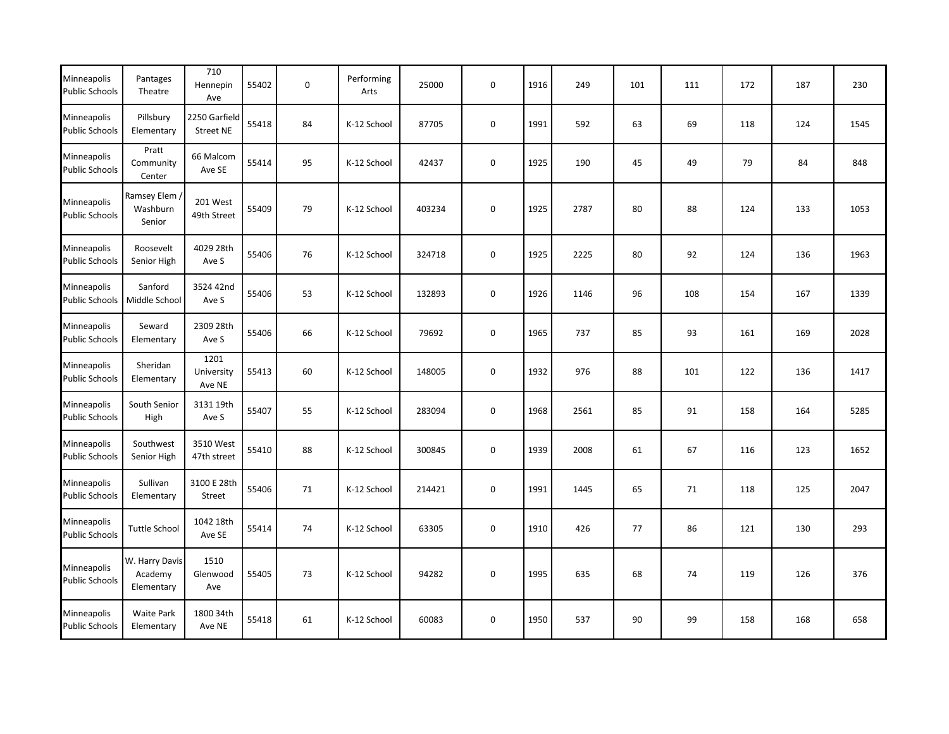| Minneapolis<br><b>Public Schools</b> | Pantages<br>Theatre                     | 710<br>Hennepin<br>Ave            | 55402 | $\mathbf 0$ | Performing<br>Arts | 25000  | $\mathbf 0$ | 1916 | 249  | 101 | 111 | 172 | 187 | 230  |
|--------------------------------------|-----------------------------------------|-----------------------------------|-------|-------------|--------------------|--------|-------------|------|------|-----|-----|-----|-----|------|
| Minneapolis<br><b>Public Schools</b> | Pillsbury<br>Elementary                 | 2250 Garfield<br><b>Street NE</b> | 55418 | 84          | K-12 School        | 87705  | 0           | 1991 | 592  | 63  | 69  | 118 | 124 | 1545 |
| Minneapolis<br><b>Public Schools</b> | Pratt<br>Community<br>Center            | 66 Malcom<br>Ave SE               | 55414 | 95          | K-12 School        | 42437  | $\mathsf 0$ | 1925 | 190  | 45  | 49  | 79  | 84  | 848  |
| Minneapolis<br><b>Public Schools</b> | Ramsey Elem<br>Washburn<br>Senior       | 201 West<br>49th Street           | 55409 | 79          | K-12 School        | 403234 | $\mathsf 0$ | 1925 | 2787 | 80  | 88  | 124 | 133 | 1053 |
| Minneapolis<br><b>Public Schools</b> | Roosevelt<br>Senior High                | 4029 28th<br>Ave S                | 55406 | 76          | K-12 School        | 324718 | 0           | 1925 | 2225 | 80  | 92  | 124 | 136 | 1963 |
| Minneapolis<br><b>Public Schools</b> | Sanford<br>Middle School                | 3524 42nd<br>Ave S                | 55406 | 53          | K-12 School        | 132893 | 0           | 1926 | 1146 | 96  | 108 | 154 | 167 | 1339 |
| Minneapolis<br><b>Public Schools</b> | Seward<br>Elementary                    | 2309 28th<br>Ave S                | 55406 | 66          | K-12 School        | 79692  | 0           | 1965 | 737  | 85  | 93  | 161 | 169 | 2028 |
| Minneapolis<br><b>Public Schools</b> | Sheridan<br>Elementary                  | 1201<br>University<br>Ave NE      | 55413 | 60          | K-12 School        | 148005 | 0           | 1932 | 976  | 88  | 101 | 122 | 136 | 1417 |
| Minneapolis<br><b>Public Schools</b> | South Senior<br>High                    | 3131 19th<br>Ave S                | 55407 | 55          | K-12 School        | 283094 | 0           | 1968 | 2561 | 85  | 91  | 158 | 164 | 5285 |
| Minneapolis<br><b>Public Schools</b> | Southwest<br>Senior High                | 3510 West<br>47th street          | 55410 | 88          | K-12 School        | 300845 | $\pmb{0}$   | 1939 | 2008 | 61  | 67  | 116 | 123 | 1652 |
| Minneapolis<br><b>Public Schools</b> | Sullivan<br>Elementary                  | 3100 E 28th<br>Street             | 55406 | 71          | K-12 School        | 214421 | 0           | 1991 | 1445 | 65  | 71  | 118 | 125 | 2047 |
| Minneapolis<br><b>Public Schools</b> | <b>Tuttle School</b>                    | 1042 18th<br>Ave SE               | 55414 | 74          | K-12 School        | 63305  | $\mathsf 0$ | 1910 | 426  | 77  | 86  | 121 | 130 | 293  |
| Minneapolis<br><b>Public Schools</b> | W. Harry Davis<br>Academy<br>Elementary | 1510<br>Glenwood<br>Ave           | 55405 | 73          | K-12 School        | 94282  | $\mathbf 0$ | 1995 | 635  | 68  | 74  | 119 | 126 | 376  |
| Minneapolis<br><b>Public Schools</b> | Waite Park<br>Elementary                | 1800 34th<br>Ave NE               | 55418 | 61          | K-12 School        | 60083  | $\pmb{0}$   | 1950 | 537  | 90  | 99  | 158 | 168 | 658  |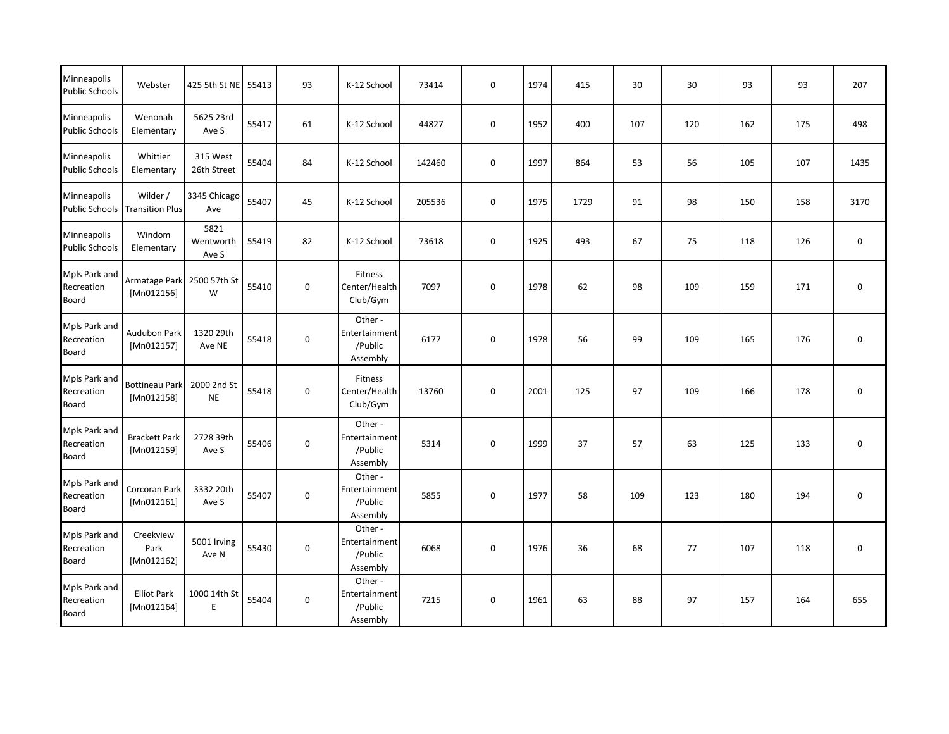| Minneapolis<br><b>Public Schools</b>        | Webster                             | 425 5th St NE              | 55413 | 93          | K-12 School                                    | 73414  | $\mathbf 0$      | 1974 | 415  | 30  | 30  | 93  | 93  | 207              |
|---------------------------------------------|-------------------------------------|----------------------------|-------|-------------|------------------------------------------------|--------|------------------|------|------|-----|-----|-----|-----|------------------|
| Minneapolis<br><b>Public Schools</b>        | Wenonah<br>Elementary               | 5625 23rd<br>Ave S         | 55417 | 61          | K-12 School                                    | 44827  | $\mathbf 0$      | 1952 | 400  | 107 | 120 | 162 | 175 | 498              |
| Minneapolis<br><b>Public Schools</b>        | Whittier<br>Elementary              | 315 West<br>26th Street    | 55404 | 84          | K-12 School                                    | 142460 | $\mathbf 0$      | 1997 | 864  | 53  | 56  | 105 | 107 | 1435             |
| Minneapolis<br><b>Public Schools</b>        | Wilder /<br><b>Transition Plus</b>  | 3345 Chicago<br>Ave        | 55407 | 45          | K-12 School                                    | 205536 | $\mathbf 0$      | 1975 | 1729 | 91  | 98  | 150 | 158 | 3170             |
| Minneapolis<br><b>Public Schools</b>        | Windom<br>Elementary                | 5821<br>Wentworth<br>Ave S | 55419 | 82          | K-12 School                                    | 73618  | $\mathbf 0$      | 1925 | 493  | 67  | 75  | 118 | 126 | $\mathbf 0$      |
| Mpls Park and<br>Recreation<br><b>Board</b> | Armatage Park<br>[Mn012156]         | 2500 57th St<br>W          | 55410 | $\mathbf 0$ | Fitness<br>Center/Health<br>Club/Gym           | 7097   | $\pmb{0}$        | 1978 | 62   | 98  | 109 | 159 | 171 | 0                |
| Mpls Park and<br>Recreation<br><b>Board</b> | <b>Audubon Park</b><br>[Mn012157]   | 1320 29th<br>Ave NE        | 55418 | $\mathbf 0$ | Other-<br>Entertainment<br>/Public<br>Assembly | 6177   | $\pmb{0}$        | 1978 | 56   | 99  | 109 | 165 | 176 | $\mathbf 0$      |
| Mpls Park and<br>Recreation<br>Board        | <b>Bottineau Park</b><br>[Mn012158] | 2000 2nd St<br><b>NE</b>   | 55418 | $\mathbf 0$ | <b>Fitness</b><br>Center/Health<br>Club/Gym    | 13760  | $\mathbf 0$      | 2001 | 125  | 97  | 109 | 166 | 178 | $\mathbf 0$      |
| Mpls Park and<br>Recreation<br>Board        | <b>Brackett Park</b><br>[Mn012159]  | 2728 39th<br>Ave S         | 55406 | $\mathbf 0$ | Other-<br>Entertainment<br>/Public<br>Assembly | 5314   | $\mathbf 0$      | 1999 | 37   | 57  | 63  | 125 | 133 | $\mathbf 0$      |
| Mpls Park and<br>Recreation<br>Board        | Corcoran Park<br>[Mn012161]         | 3332 20th<br>Ave S         | 55407 | $\mathbf 0$ | Other-<br>Entertainment<br>/Public<br>Assembly | 5855   | $\boldsymbol{0}$ | 1977 | 58   | 109 | 123 | 180 | 194 | $\boldsymbol{0}$ |
| Mpls Park and<br>Recreation<br>Board        | Creekview<br>Park<br>[Mn012162]     | 5001 Irving<br>Ave N       | 55430 | $\mathbf 0$ | Other-<br>Entertainment<br>/Public<br>Assembly | 6068   | $\boldsymbol{0}$ | 1976 | 36   | 68  | 77  | 107 | 118 | $\boldsymbol{0}$ |
| Mpls Park and<br>Recreation<br>Board        | <b>Elliot Park</b><br>[Mn012164]    | 1000 14th St<br>E          | 55404 | $\mathbf 0$ | Other-<br>Entertainment<br>/Public<br>Assembly | 7215   | $\mathbf 0$      | 1961 | 63   | 88  | 97  | 157 | 164 | 655              |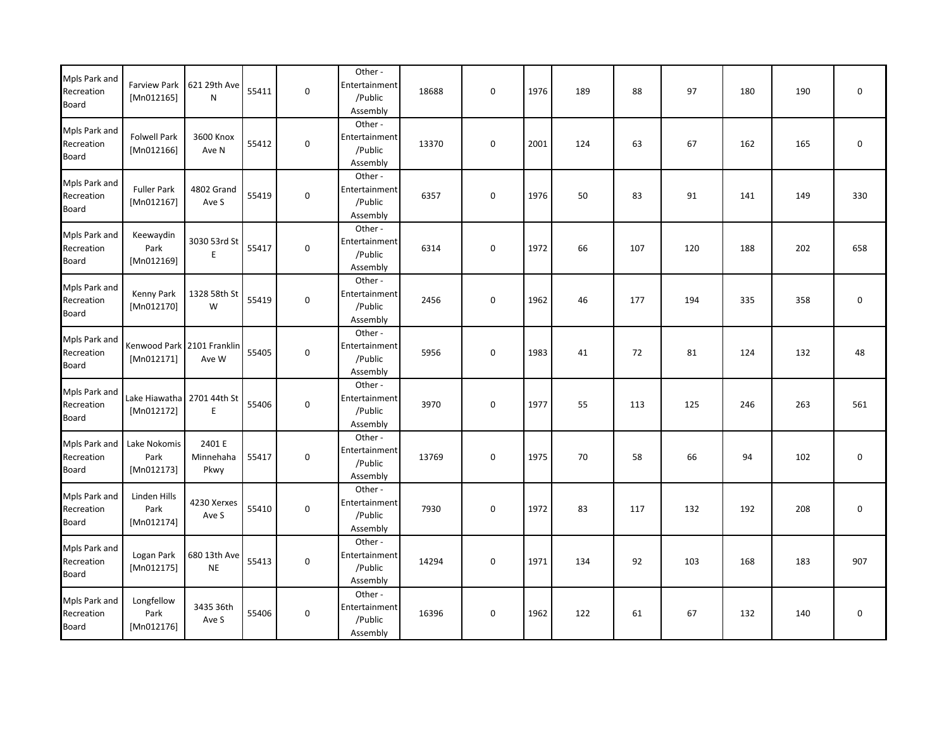| Mpls Park and<br>Recreation<br><b>Board</b> | <b>Farview Park</b><br>[Mn012165]        | 621 29th Ave<br>${\sf N}$   | 55411 | $\mathbf 0$         | Other-<br>Entertainment<br>/Public<br>Assembly  | 18688 | $\boldsymbol{0}$ | 1976 | 189 | 88  | 97  | 180 | 190 | 0   |
|---------------------------------------------|------------------------------------------|-----------------------------|-------|---------------------|-------------------------------------------------|-------|------------------|------|-----|-----|-----|-----|-----|-----|
| Mpls Park and<br>Recreation<br>Board        | <b>Folwell Park</b><br>[Mn012166]        | 3600 Knox<br>Ave N          | 55412 | $\mathsf{O}\xspace$ | Other-<br>Entertainment<br>/Public<br>Assembly  | 13370 | $\mathbf 0$      | 2001 | 124 | 63  | 67  | 162 | 165 | 0   |
| Mpls Park and<br>Recreation<br><b>Board</b> | <b>Fuller Park</b><br>[Mn012167]         | 4802 Grand<br>Ave S         | 55419 | $\mathsf{O}\xspace$ | Other-<br>Entertainment<br>/Public<br>Assembly  | 6357  | $\pmb{0}$        | 1976 | 50  | 83  | 91  | 141 | 149 | 330 |
| Mpls Park and<br>Recreation<br><b>Board</b> | Keewaydin<br>Park<br>[Mn012169]          | 3030 53rd St<br>E           | 55417 | 0                   | Other-<br>Entertainment<br>/Public<br>Assembly  | 6314  | 0                | 1972 | 66  | 107 | 120 | 188 | 202 | 658 |
| Mpls Park and<br>Recreation<br><b>Board</b> | Kenny Park<br>[ Mn012170]                | 1328 58th St<br>W           | 55419 | 0                   | Other-<br>Entertainment<br>/Public<br>Assembly  | 2456  | 0                | 1962 | 46  | 177 | 194 | 335 | 358 | 0   |
| Mpls Park and<br>Recreation<br>Board        | Kenwood Park 2101 Franklin<br>[Mn012171] | Ave W                       | 55405 | $\mathsf{O}\xspace$ | Other -<br>Entertainment<br>/Public<br>Assembly | 5956  | 0                | 1983 | 41  | 72  | 81  | 124 | 132 | 48  |
| Mpls Park and<br>Recreation<br>Board        | Lake Hiawatha<br>[Mn012172]              | 2701 44th St<br>E           | 55406 | $\mathsf{O}\xspace$ | Other-<br>Entertainment<br>/Public<br>Assembly  | 3970  | $\mathbf 0$      | 1977 | 55  | 113 | 125 | 246 | 263 | 561 |
| Mpls Park and<br>Recreation<br><b>Board</b> | Lake Nokomis<br>Park<br>[Mn012173]       | 2401 E<br>Minnehaha<br>Pkwy | 55417 | $\mathsf{O}\xspace$ | Other-<br>Entertainment<br>/Public<br>Assembly  | 13769 | $\pmb{0}$        | 1975 | 70  | 58  | 66  | 94  | 102 | 0   |
| Mpls Park and<br>Recreation<br><b>Board</b> | Linden Hills<br>Park<br>[Mn012174]       | 4230 Xerxes<br>Ave S        | 55410 | 0                   | Other-<br>Entertainment<br>/Public<br>Assembly  | 7930  | 0                | 1972 | 83  | 117 | 132 | 192 | 208 | 0   |
| Mpls Park and<br>Recreation<br><b>Board</b> | Logan Park<br>[Mn012175]                 | 680 13th Ave<br><b>NE</b>   | 55413 | $\pmb{0}$           | Other-<br>Entertainment<br>/Public<br>Assembly  | 14294 | $\pmb{0}$        | 1971 | 134 | 92  | 103 | 168 | 183 | 907 |
| Mpls Park and<br>Recreation<br><b>Board</b> | Longfellow<br>Park<br>[Mn012176]         | 3435 36th<br>Ave S          | 55406 | $\mathsf{O}\xspace$ | Other-<br>Entertainment<br>/Public<br>Assembly  | 16396 | 0                | 1962 | 122 | 61  | 67  | 132 | 140 | 0   |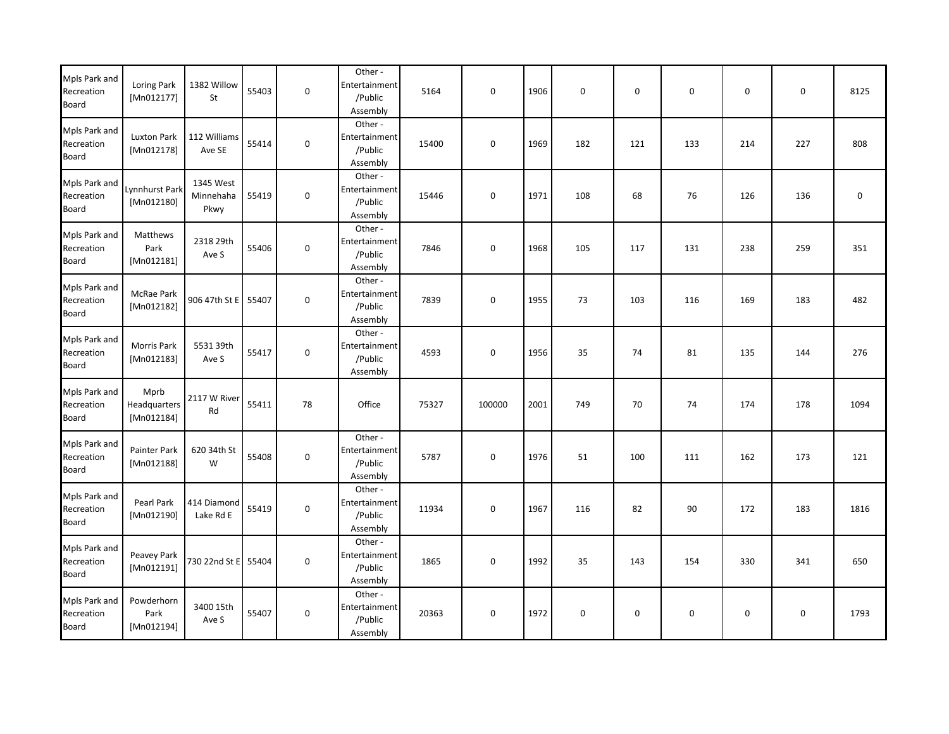| Mpls Park and<br>Recreation<br><b>Board</b> | Loring Park<br>[Mn012177]          | 1382 Willow<br>St              | 55403 | $\mathbf 0$ | Other-<br>Entertainment<br>/Public<br>Assembly | 5164  | $\boldsymbol{0}$ | 1906 | 0   | $\mathbf 0$ | $\mathbf 0$ | 0   | $\mathbf 0$ | 8125             |
|---------------------------------------------|------------------------------------|--------------------------------|-------|-------------|------------------------------------------------|-------|------------------|------|-----|-------------|-------------|-----|-------------|------------------|
| Mpls Park and<br>Recreation<br>Board        | Luxton Park<br>[Mn012178]          | 112 Williams<br>Ave SE         | 55414 | $\mathbf 0$ | Other-<br>Entertainment<br>/Public<br>Assembly | 15400 | 0                | 1969 | 182 | 121         | 133         | 214 | 227         | 808              |
| Mpls Park and<br>Recreation<br><b>Board</b> | ynnhurst Park<br>[Mn012180]        | 1345 West<br>Minnehaha<br>Pkwy | 55419 | $\mathbf 0$ | Other-<br>Entertainment<br>/Public<br>Assembly | 15446 | 0                | 1971 | 108 | 68          | 76          | 126 | 136         | $\boldsymbol{0}$ |
| Mpls Park and<br>Recreation<br>Board        | Matthews<br>Park<br>[Mn012181]     | 2318 29th<br>Ave S             | 55406 | $\mathbf 0$ | Other-<br>Entertainment<br>/Public<br>Assembly | 7846  | 0                | 1968 | 105 | 117         | 131         | 238 | 259         | 351              |
| Mpls Park and<br>Recreation<br><b>Board</b> | McRae Park<br>[Mn012182]           | 906 47th St E                  | 55407 | $\mathbf 0$ | Other-<br>Entertainment<br>/Public<br>Assembly | 7839  | 0                | 1955 | 73  | 103         | 116         | 169 | 183         | 482              |
| Mpls Park and<br>Recreation<br><b>Board</b> | Morris Park<br>[Mn012183]          | 5531 39th<br>Ave S             | 55417 | $\mathbf 0$ | Other-<br>Entertainment<br>/Public<br>Assembly | 4593  | 0                | 1956 | 35  | 74          | 81          | 135 | 144         | 276              |
| Mpls Park and<br>Recreation<br>Board        | Mprb<br>Headquarters<br>[Mn012184] | 2117 W River<br>Rd             | 55411 | 78          | Office                                         | 75327 | 100000           | 2001 | 749 | 70          | 74          | 174 | 178         | 1094             |
| Mpls Park and<br>Recreation<br><b>Board</b> | Painter Park<br>[ $Mn012188$ ]     | 620 34th St<br>W               | 55408 | $\mathbf 0$ | Other-<br>Entertainment<br>/Public<br>Assembly | 5787  | 0                | 1976 | 51  | 100         | 111         | 162 | 173         | 121              |
| Mpls Park and<br>Recreation<br>Board        | Pearl Park<br>[Mn012190]           | 414 Diamond<br>Lake Rd E       | 55419 | $\mathbf 0$ | Other-<br>Entertainment<br>/Public<br>Assembly | 11934 | 0                | 1967 | 116 | 82          | 90          | 172 | 183         | 1816             |
| Mpls Park and<br>Recreation<br><b>Board</b> | Peavey Park<br>[Mn012191]          | 730 22nd St E                  | 55404 | $\mathbf 0$ | Other-<br>Entertainment<br>/Public<br>Assembly | 1865  | 0                | 1992 | 35  | 143         | 154         | 330 | 341         | 650              |
| Mpls Park and<br>Recreation<br>Board        | Powderhorn<br>Park<br>[Mn012194]   | 3400 15th<br>Ave S             | 55407 | $\mathbf 0$ | Other-<br>Entertainment<br>/Public<br>Assembly | 20363 | 0                | 1972 | 0   | 0           | $\mathbf 0$ | 0   | $\mathbf 0$ | 1793             |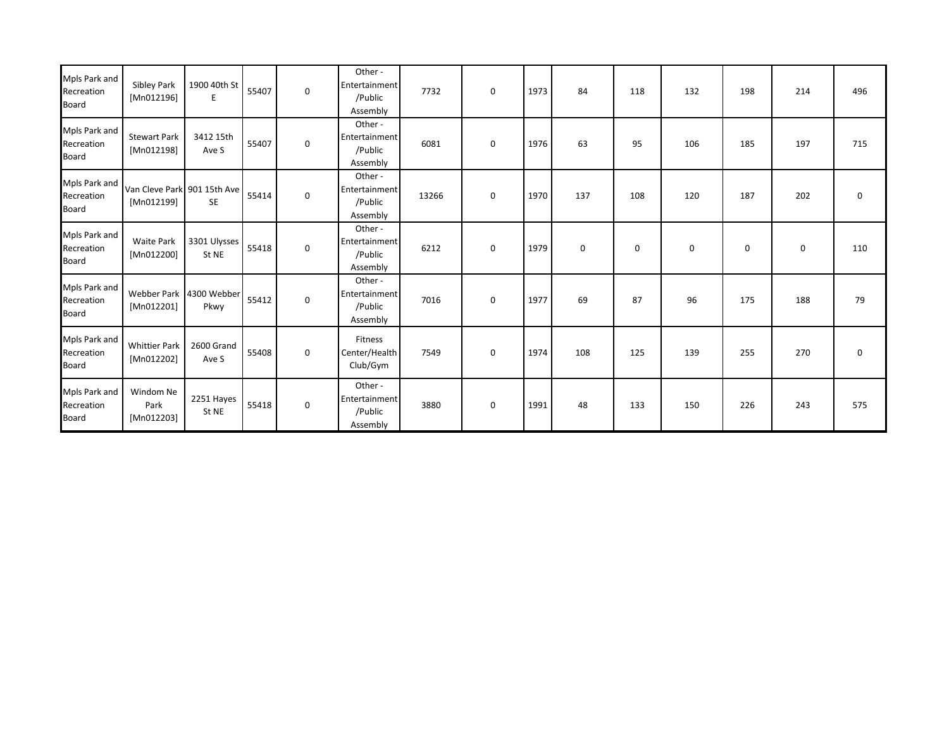| Mpls Park and<br>Recreation<br><b>Board</b> | Sibley Park<br>[Mn012196]                 | 1900 40th St<br>E               | 55407 | $\mathbf 0$ | Other-<br>Entertainment<br>/Public<br>Assembly | 7732  | 0           | 1973 | 84          | 118 | 132         | 198 | 214         | 496         |
|---------------------------------------------|-------------------------------------------|---------------------------------|-------|-------------|------------------------------------------------|-------|-------------|------|-------------|-----|-------------|-----|-------------|-------------|
| Mpls Park and<br>Recreation<br><b>Board</b> | <b>Stewart Park</b><br>[Mn012198]         | 3412 15th<br>Ave S              | 55407 | $\mathbf 0$ | Other-<br>Entertainment<br>/Public<br>Assembly | 6081  | $\mathbf 0$ | 1976 | 63          | 95  | 106         | 185 | 197         | 715         |
| Mpls Park and<br>Recreation<br><b>Board</b> | Van Cleve Park 901 15th Ave<br>[Mn012199] | <b>SE</b>                       | 55414 | $\mathbf 0$ | Other-<br>Entertainment<br>/Public<br>Assembly | 13266 | $\mathbf 0$ | 1970 | 137         | 108 | 120         | 187 | 202         | $\mathbf 0$ |
| Mpls Park and<br>Recreation<br><b>Board</b> | <b>Waite Park</b><br>[Mn012200]           | 3301 Ulysses<br>St NE           | 55418 | $\mathbf 0$ | Other-<br>Entertainment<br>/Public<br>Assembly | 6212  | $\mathbf 0$ | 1979 | $\mathbf 0$ | 0   | $\mathbf 0$ | 0   | $\mathbf 0$ | 110         |
| Mpls Park and<br>Recreation<br><b>Board</b> | [Mn012201]                                | Webber Park 4300 Webber<br>Pkwy | 55412 | $\mathbf 0$ | Other-<br>Entertainment<br>/Public<br>Assembly | 7016  | $\mathbf 0$ | 1977 | 69          | 87  | 96          | 175 | 188         | 79          |
| Mpls Park and<br>Recreation<br>Board        | <b>Whittier Park</b><br>[Mn012202]        | 2600 Grand<br>Ave S             | 55408 | $\mathbf 0$ | Fitness<br>Center/Health<br>Club/Gym           | 7549  | $\mathbf 0$ | 1974 | 108         | 125 | 139         | 255 | 270         | $\mathbf 0$ |
| Mpls Park and<br>Recreation<br><b>Board</b> | Windom Ne<br>Park<br>[Mn012203]           | 2251 Hayes<br>St NE             | 55418 | $\mathbf 0$ | Other-<br>Entertainment<br>/Public<br>Assembly | 3880  | $\mathbf 0$ | 1991 | 48          | 133 | 150         | 226 | 243         | 575         |